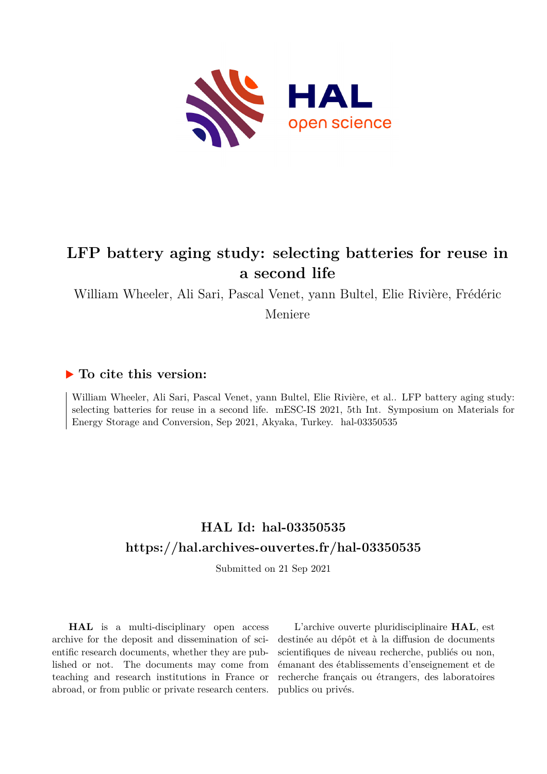

## **LFP battery aging study: selecting batteries for reuse in a second life**

William Wheeler, Ali Sari, Pascal Venet, yann Bultel, Elie Rivière, Frédéric

Meniere

## **To cite this version:**

William Wheeler, Ali Sari, Pascal Venet, yann Bultel, Elie Rivière, et al.. LFP battery aging study: selecting batteries for reuse in a second life. mESC-IS 2021, 5th Int. Symposium on Materials for Energy Storage and Conversion, Sep 2021, Akyaka, Turkey. hal-03350535

## **HAL Id: hal-03350535 <https://hal.archives-ouvertes.fr/hal-03350535>**

Submitted on 21 Sep 2021

**HAL** is a multi-disciplinary open access archive for the deposit and dissemination of scientific research documents, whether they are published or not. The documents may come from teaching and research institutions in France or abroad, or from public or private research centers.

L'archive ouverte pluridisciplinaire **HAL**, est destinée au dépôt et à la diffusion de documents scientifiques de niveau recherche, publiés ou non, émanant des établissements d'enseignement et de recherche français ou étrangers, des laboratoires publics ou privés.